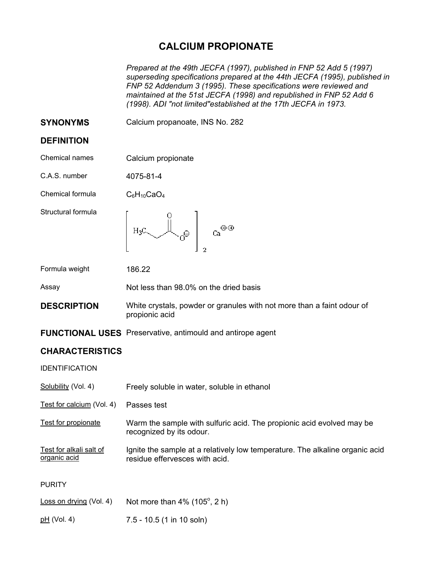## **CALCIUM PROPIONATE**

*Prepared at the 49th JECFA (1997), published in FNP 52 Add 5 (1997) superseding specifications prepared at the 44th JECFA (1995), published in FNP 52 Addendum 3 (1995). These specifications were reviewed and maintained at the 51st JECFA (1998) and republished in FNP 52 Add 6 (1998). ADI "not limited"established at the 17th JECFA in 1973.* 

**SYNONYMS** Calcium propanoate, INS No. 282

## **DEFINITION**

Chemical names Calcium propionate

C.A.S. number 4075-81-4

Chemical formula  $C_6H_{10}CaO_4$ 

Structural formula



Formula weight 186.22

Assay Not less than 98.0% on the dried basis

**DESCRIPTION** White crystals, powder or granules with not more than a faint odour of propionic acid

**FUNCTIONAL USES** Preservative, antimould and antirope agent

## **CHARACTERISTICS**

IDENTIFICATION

| Solubility (Vol. 4)                     | Freely soluble in water, soluble in ethanol                                                                    |
|-----------------------------------------|----------------------------------------------------------------------------------------------------------------|
| Test for calcium (Vol. 4)               | Passes test                                                                                                    |
| Test for propionate                     | Warm the sample with sulfuric acid. The propionic acid evolved may be<br>recognized by its odour.              |
| Test for alkali salt of<br>organic acid | Ignite the sample at a relatively low temperature. The alkaline organic acid<br>residue effervesces with acid. |
| <b>PURITY</b>                           |                                                                                                                |
| Loss on drying (Vol. 4)                 | Not more than $4\%$ (105 $^{\circ}$ , 2 h)                                                                     |
| pH (Vol. 4)                             | $7.5 - 10.5$ (1 in 10 soln)                                                                                    |